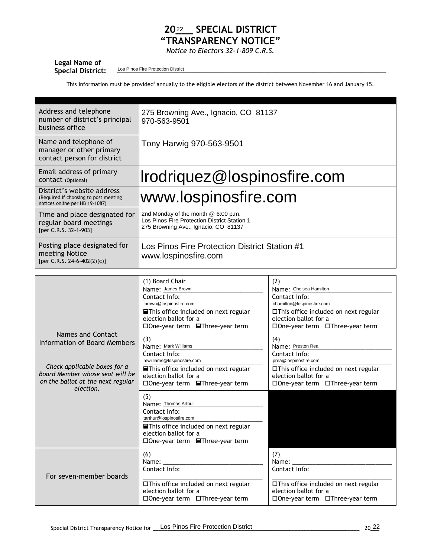## 20<sup>22</sup> SPECIAL DISTRICT **"TRANSPARENCY NOTICE"**

*Notice to Electors 32-1-809 C.R.S.*

| Legal Name of            |                                    |
|--------------------------|------------------------------------|
| <b>Special District:</b> | Los PInos Fire Protection District |

This information must be provided<sup>1</sup> annually to the eligible electors of the district between November 16 and January 15.

| Address and telephone<br>number of district's principal<br>business office                            | 275 Browning Ave., Ignacio, CO 81137<br>970-563-9501                                                                        |
|-------------------------------------------------------------------------------------------------------|-----------------------------------------------------------------------------------------------------------------------------|
| Name and telephone of<br>manager or other primary<br>contact person for district                      | Tony Harwig 970-563-9501                                                                                                    |
| Email address of primary<br>CONTACT (Optional)                                                        | Irodriquez@lospinosfire.com                                                                                                 |
| District's website address<br>(Required if choosing to post meeting<br>notices online per HB 19-1087) | www.lospinosfire.com                                                                                                        |
| Time and place designated for<br>regular board meetings<br>[per C.R.S. 32-1-903]                      | 2nd Monday of the month @ 6:00 p.m.<br>Los Pinos Fire Protection District Station 1<br>275 Browning Ave., Ignacio, CO 81137 |
| Posting place designated for<br>meeting Notice<br>[per C.R.S. 24-6-402(2)(c)]                         | Los Pinos Fire Protection District Station #1<br>www.lospinosfire.com                                                       |

|                                                                                                                                                                        | (1) Board Chair<br>Name: James Brown<br>Contact Info:<br>jbrown@lospinosfire.com<br><b>■This office included on next regular</b><br>election ballot for a<br>□One-year term <b>■Three-year term</b> | (2)<br>Name: Chelsea Hamilton<br>Contact Info:<br>chamilton@lospinosfire.com<br>□This office included on next regular<br>election ballot for a<br>□One-year term □Three-year term |
|------------------------------------------------------------------------------------------------------------------------------------------------------------------------|-----------------------------------------------------------------------------------------------------------------------------------------------------------------------------------------------------|-----------------------------------------------------------------------------------------------------------------------------------------------------------------------------------|
| Names and Contact<br>Information of Board Members<br>Check applicable boxes for a<br>Board Member whose seat will be<br>on the ballot at the next regular<br>election. | (3)<br>Name: Mark Williams<br>Contact Info:<br>mwilliams@lospinosfire.com<br><b>■This office included on next regular</b><br>election ballot for a<br>□One-year term <b>■Three-year term</b>        | (4)<br>Name: Preston Rea<br>Contact Info:<br>prea@lospinosfire.com<br>$\Box$ This office included on next regular<br>election ballot for a<br>□ One-year term □ Three-year term   |
|                                                                                                                                                                        | (5)<br>Name: Thomas Arthur<br>Contact Info:<br>tarthur@lospinosfire.com<br><b>■This office included on next regular</b><br>election ballot for a<br>□One-year term ■Three-year term                 |                                                                                                                                                                                   |
| For seven-member boards                                                                                                                                                | (6)<br>Name:<br>Contact Info:<br>□This office included on next regular<br>election ballot for a<br>$\square$ One-year term $\square$ Three-year term                                                | (7)<br>Name:<br>Contact Info:<br>□This office included on next regular<br>election ballot for a<br>$\square$ One-year term $\square$ Three-year term                              |